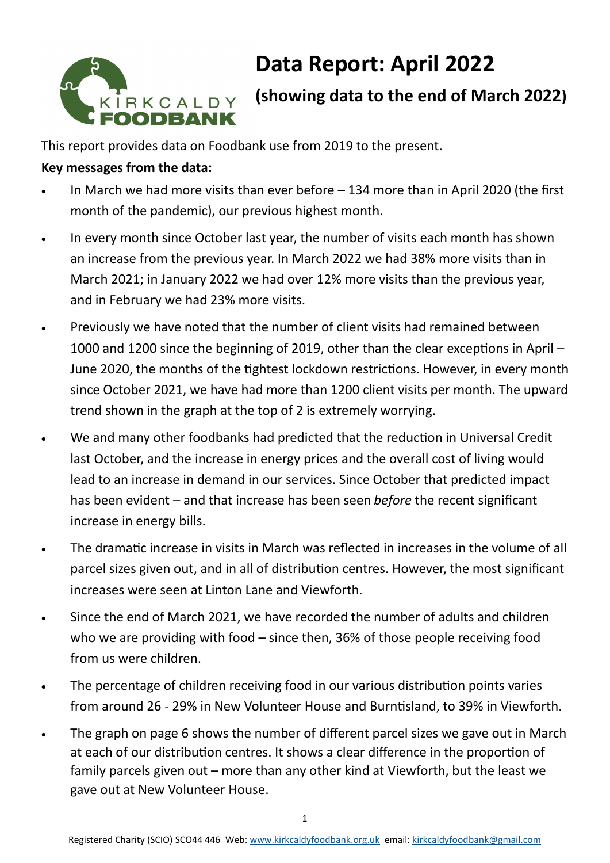# KIRKCALDY<br>**FOODBANK**

# **Data Report: April 2022**

# **(showing data to the end of March 2022)**

This report provides data on Foodbank use from 2019 to the present.

## **Key messages from the data:**

- In March we had more visits than ever before  $-134$  more than in April 2020 (the first month of the pandemic), our previous highest month.
- In every month since October last year, the number of visits each month has shown an increase from the previous year. In March 2022 we had 38% more visits than in March 2021; in January 2022 we had over 12% more visits than the previous year, and in February we had 23% more visits.
- Previously we have noted that the number of client visits had remained between 1000 and 1200 since the beginning of 2019, other than the clear exceptions in April – June 2020, the months of the tightest lockdown restrictions. However, in every month since October 2021, we have had more than 1200 client visits per month. The upward trend shown in the graph at the top of 2 is extremely worrying.
- We and many other foodbanks had predicted that the reduction in Universal Credit last October, and the increase in energy prices and the overall cost of living would lead to an increase in demand in our services. Since October that predicted impact has been evident – and that increase has been seen *before* the recent significant increase in energy bills.
- The dramatic increase in visits in March was reflected in increases in the volume of all parcel sizes given out, and in all of distribution centres. However, the most significant increases were seen at Linton Lane and Viewforth.
- Since the end of March 2021, we have recorded the number of adults and children who we are providing with food – since then, 36% of those people receiving food from us were children.
- The percentage of children receiving food in our various distribution points varies from around 26 - 29% in New Volunteer House and Burntisland, to 39% in Viewforth.
- The graph on page 6 shows the number of different parcel sizes we gave out in March at each of our distribution centres. It shows a clear difference in the proportion of family parcels given out – more than any other kind at Viewforth, but the least we gave out at New Volunteer House.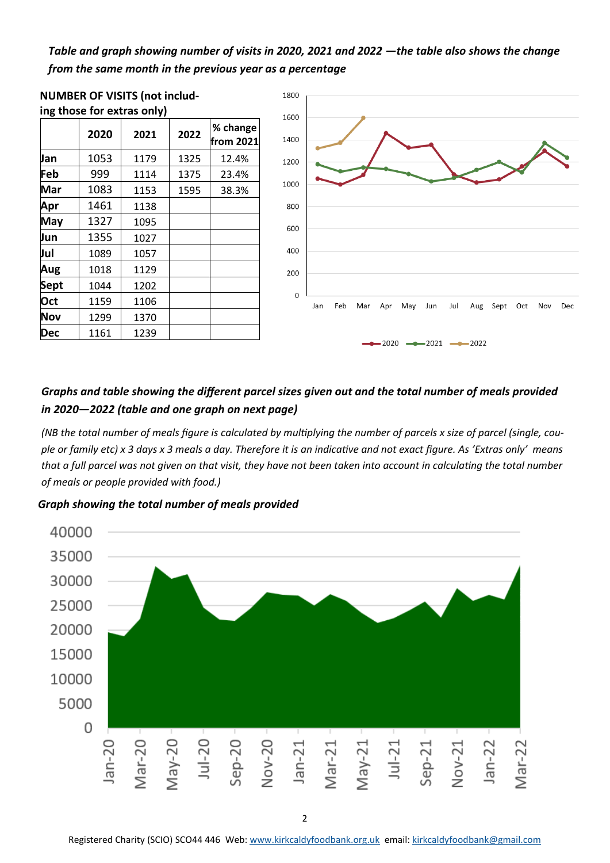### *Table and graph showing number of visits in 2020, 2021 and 2022 —the table also shows the change from the same month in the previous year as a percentage*



#### *Graphs and table showing the different parcel sizes given out and the total number of meals provided in 2020—2022 (table and one graph on next page)*

*(NB the total number of meals figure is calculated by multiplying the number of parcels x size of parcel (single, couple or family etc) x 3 days x 3 meals a day. Therefore it is an indicative and not exact figure. As 'Extras only' means that a full parcel was not given on that visit, they have not been taken into account in calculating the total number of meals or people provided with food.)* 

*Graph showing the total number of meals provided* 



Registered Charity (SCIO) SCO44 446 Web: [www.kirkcaldyfoodbank.org.uk](http://www.kirkcaldyfoodbank.org.uk) email: [kirkcaldyfoodbank@gmail.com](mailto:mailtokirkcaldyfoodbank@gmail.com)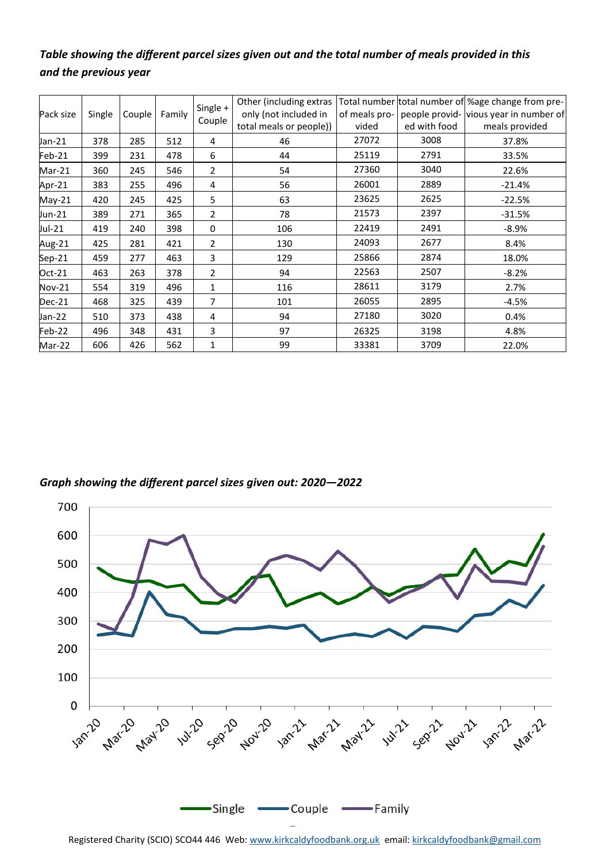### *Table showing the different parcel sizes given out and the total number of meals provided in this and the previous year*

| Pack size     | Single | Couple | Family | Single +<br>Couple | Other (including extras |               |              | Total number total number of % age change from pre- |
|---------------|--------|--------|--------|--------------------|-------------------------|---------------|--------------|-----------------------------------------------------|
|               |        |        |        |                    | only (not included in   | of meals pro- |              | people provid- vious year in number of              |
|               |        |        |        |                    | total meals or people)) | vided         | ed with food | meals provided                                      |
| Jan-21        | 378    | 285    | 512    | 4                  | 46                      | 27072         | 3008         | 37.8%                                               |
| Feb-21        | 399    | 231    | 478    | 6                  | 44                      | 25119         | 2791         | 33.5%                                               |
| Mar-21        | 360    | 245    | 546    | 2                  | 54                      | 27360         | 3040         | 22.6%                                               |
| Apr-21        | 383    | 255    | 496    | 4                  | 56                      | 26001         | 2889         | $-21.4%$                                            |
| May-21        | 420    | 245    | 425    | 5                  | 63                      | 23625         | 2625         | $-22.5%$                                            |
| Jun-21        | 389    | 271    | 365    | $\overline{2}$     | 78                      | 21573         | 2397         | $-31.5%$                                            |
| Jul-21        | 419    | 240    | 398    | $\mathbf 0$        | 106                     | 22419         | 2491         | $-8.9\%$                                            |
| Aug-21        | 425    | 281    | 421    | 2                  | 130                     | 24093         | 2677         | 8.4%                                                |
| Sep-21        | 459    | 277    | 463    | 3                  | 129                     | 25866         | 2874         | 18.0%                                               |
| $Oct-21$      | 463    | 263    | 378    | $\overline{2}$     | 94                      | 22563         | 2507         | $-8.2%$                                             |
| <b>Nov-21</b> | 554    | 319    | 496    | 1                  | 116                     | 28611         | 3179         | 2.7%                                                |
| <b>Dec-21</b> | 468    | 325    | 439    | 7                  | 101                     | 26055         | 2895         | $-4.5%$                                             |
| Jan-22        | 510    | 373    | 438    | 4                  | 94                      | 27180         | 3020         | 0.4%                                                |
| Feb-22        | 496    | 348    | 431    | 3                  | 97                      | 26325         | 3198         | 4.8%                                                |
| Mar-22        | 606    | 426    | 562    | 1                  | 99                      | 33381         | 3709         | 22.0%                                               |

*Graph showing the different parcel sizes given out: 2020—2022*



Registered Charity (SCIO) SCO44 446 Web: [www.kirkcaldyfoodbank.org.uk](http://www.kirkcaldyfoodbank.org.uk) email: [kirkcaldyfoodbank@gmail.com](mailto:mailtokirkcaldyfoodbank@gmail.com)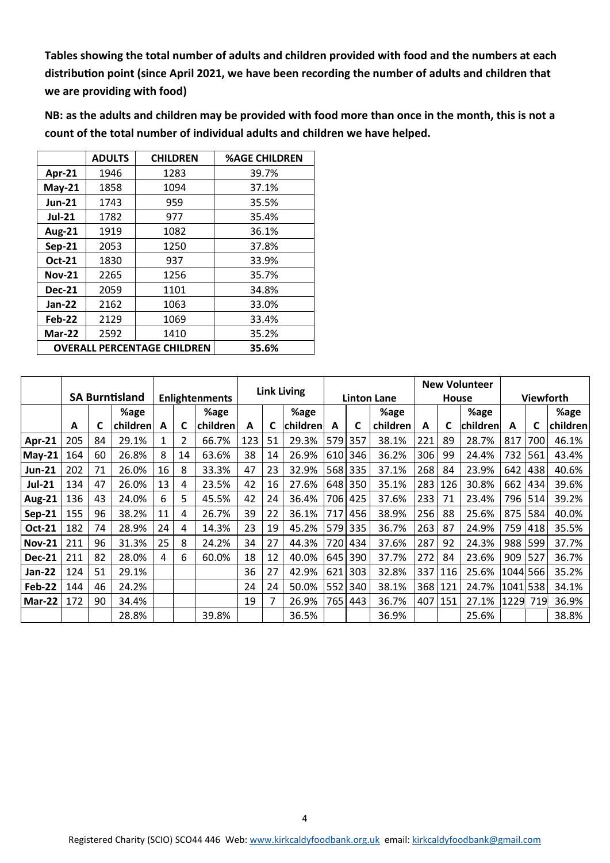**Tables showing the total number of adults and children provided with food and the numbers at each distribution point (since April 2021, we have been recording the number of adults and children that we are providing with food)**

**NB: as the adults and children may be provided with food more than once in the month, this is not a count of the total number of individual adults and children we have helped.** 

|               | <b>ADULTS</b>                      | <b>CHILDREN</b> | <b>%AGE CHILDREN</b> |
|---------------|------------------------------------|-----------------|----------------------|
| Apr-21        | 1946                               | 1283            | 39.7%                |
| $May-21$      | 1858                               | 1094            | 37.1%                |
| <b>Jun-21</b> | 1743                               | 959             | 35.5%                |
| <b>Jul-21</b> | 1782                               | 977             | 35.4%                |
| <b>Aug-21</b> | 1919                               | 1082            | 36.1%                |
| <b>Sep-21</b> | 2053                               | 1250            | 37.8%                |
| Oct-21        | 1830                               | 937             | 33.9%                |
| <b>Nov-21</b> | 2265                               | 1256            | 35.7%                |
| <b>Dec-21</b> | 2059                               | 1101            | 34.8%                |
| Jan-22        | 2162                               | 1063            | 33.0%                |
| Feb-22        | 2129                               | 1069            | 33.4%                |
| Mar-22        | 2592                               | 1410            | 35.2%                |
|               | <b>OVERALL PERCENTAGE CHILDREN</b> | 35.6%           |                      |

|               | <b>SA Burntisland</b> |    |          |                       |    |                    | <b>Link Living</b> |    |          |              |     |          | <b>New Volunteer</b> |     |          |          |     |          |
|---------------|-----------------------|----|----------|-----------------------|----|--------------------|--------------------|----|----------|--------------|-----|----------|----------------------|-----|----------|----------|-----|----------|
|               |                       |    |          | <b>Enlightenments</b> |    | <b>Linton Lane</b> |                    |    |          | <b>House</b> |     |          | <b>Viewforth</b>     |     |          |          |     |          |
|               |                       |    | %age     |                       |    | %age               |                    |    | %age     |              |     | %age     |                      |     | %age     |          |     | %age     |
|               | A                     | C  | children | A                     | C  | children           | А                  | C  | children | A            | C   | children | A                    | C   | children | A        |     | children |
| Apr-21        | 205                   | 84 | 29.1%    | 1                     | 2  | 66.7%              | 123                | 51 | 29.3%    | 579          | 357 | 38.1%    | 221                  | 89  | 28.7%    | 817      | 700 | 46.1%    |
| $May-21$      | 164                   | 60 | 26.8%    | 8                     | 14 | 63.6%              | 38                 | 14 | 26.9%    | 610          | 346 | 36.2%    | 306                  | 99  | 24.4%    | 732      | 561 | 43.4%    |
| <b>Jun-21</b> | 202                   | 71 | 26.0%    | 16                    | 8  | 33.3%              | 47                 | 23 | 32.9%    | 568          | 335 | 37.1%    | 268                  | 84  | 23.9%    | 642      | 438 | 40.6%    |
| <b>Jul-21</b> | 134                   | 47 | 26.0%    | 13                    | 4  | 23.5%              | 42                 | 16 | 27.6%    | 648          | 350 | 35.1%    | 283                  | 126 | 30.8%    | 662      | 434 | 39.6%    |
| <b>Aug-21</b> | 136                   | 43 | 24.0%    | 6.                    | 5  | 45.5%              | 42                 | 24 | 36.4%    | 706          | 425 | 37.6%    | 233                  | 71  | 23.4%    | 796      | 514 | 39.2%    |
| $Sep-21$      | 155                   | 96 | 38.2%    | 11                    | 4  | 26.7%              | 39                 | 22 | 36.1%    | 717          | 456 | 38.9%    | 256                  | 88  | 25.6%    | 875      | 584 | 40.0%    |
| Oct-21        | 182                   | 74 | 28.9%    | 24                    | 4  | 14.3%              | 23                 | 19 | 45.2%    | 579          | 335 | 36.7%    | 263                  | 87  | 24.9%    | 759      | 418 | 35.5%    |
| <b>Nov-21</b> | 211                   | 96 | 31.3%    | 25                    | 8  | 24.2%              | 34                 | 27 | 44.3%    | 720          | 434 | 37.6%    | 287                  | 92  | 24.3%    | 988      | 599 | 37.7%    |
| <b>Dec-21</b> | 211                   | 82 | 28.0%    | 4                     | 6  | 60.0%              | 18                 | 12 | 40.0%    | 645          | 390 | 37.7%    | 272                  | 84  | 23.6%    | 909      | 527 | 36.7%    |
| Jan-22        | 124                   | 51 | 29.1%    |                       |    |                    | 36                 | 27 | 42.9%    | 621          | 303 | 32.8%    | 337                  | 116 | 25.6%    | 1044 566 |     | 35.2%    |
| Feb-22        | 144                   | 46 | 24.2%    |                       |    |                    | 24                 | 24 | 50.0%    | 552          | 340 | 38.1%    | 368                  | 121 | 24.7%    | 1041 538 |     | 34.1%    |
| Mar-22        | 172                   | 90 | 34.4%    |                       |    |                    | 19                 | 7  | 26.9%    | 7651         | 443 | 36.7%    | 407                  | 151 | 27.1%    | 1229     | 719 | 36.9%    |
|               |                       |    | 28.8%    |                       |    | 39.8%              |                    |    | 36.5%    |              |     | 36.9%    |                      |     | 25.6%    |          |     | 38.8%    |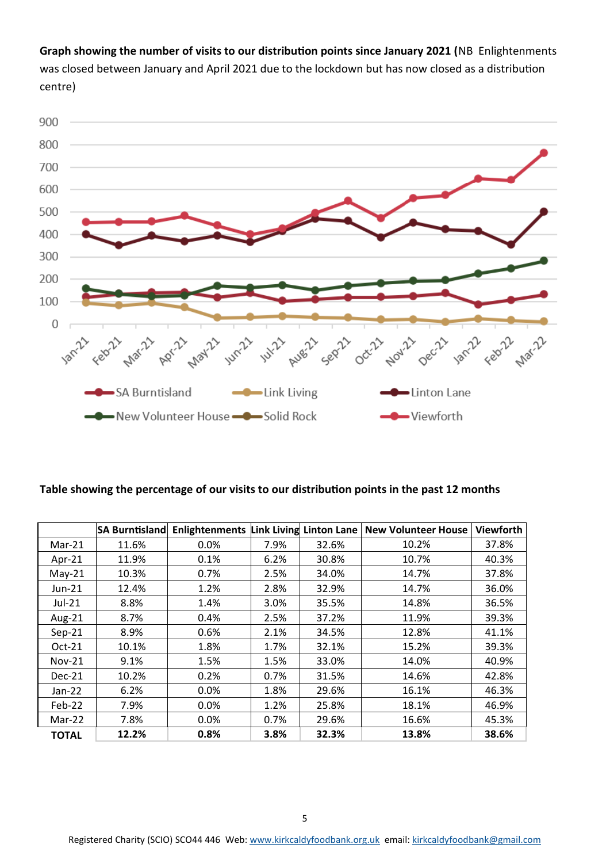**Graph showing the number of visits to our distribution points since January 2021 (**NB Enlightenments was closed between January and April 2021 due to the lockdown but has now closed as a distribution centre)



#### **Table showing the percentage of our visits to our distribution points in the past 12 months**

|              | <b>SA Burntisland</b> |      |      |       | Enlightenments Link Living Linton Lane   New Volunteer House | <b>Viewforth</b> |
|--------------|-----------------------|------|------|-------|--------------------------------------------------------------|------------------|
| $Mar-21$     | 11.6%                 | 0.0% | 7.9% | 32.6% | 10.2%                                                        | 37.8%            |
| Apr-21       | 11.9%                 | 0.1% | 6.2% | 30.8% | 10.7%                                                        | 40.3%            |
| $May-21$     | 10.3%                 | 0.7% | 2.5% | 34.0% | 14.7%                                                        | 37.8%            |
| Jun-21       | 12.4%                 | 1.2% | 2.8% | 32.9% | 14.7%                                                        | 36.0%            |
| $Jul-21$     | 8.8%                  | 1.4% | 3.0% | 35.5% | 14.8%                                                        | 36.5%            |
| Aug-21       | 8.7%                  | 0.4% | 2.5% | 37.2% | 11.9%                                                        | 39.3%            |
| $Sep-21$     | 8.9%                  | 0.6% | 2.1% | 34.5% | 12.8%                                                        | 41.1%            |
| Oct-21       | 10.1%                 | 1.8% | 1.7% | 32.1% | 15.2%                                                        | 39.3%            |
| $Nov-21$     | 9.1%                  | 1.5% | 1.5% | 33.0% | 14.0%                                                        | 40.9%            |
| Dec-21       | 10.2%                 | 0.2% | 0.7% | 31.5% | 14.6%                                                        | 42.8%            |
| $Jan-22$     | 6.2%                  | 0.0% | 1.8% | 29.6% | 16.1%                                                        | 46.3%            |
| Feb-22       | 7.9%                  | 0.0% | 1.2% | 25.8% | 18.1%                                                        | 46.9%            |
| Mar-22       | 7.8%                  | 0.0% | 0.7% | 29.6% | 16.6%                                                        | 45.3%            |
| <b>TOTAL</b> | 12.2%                 | 0.8% | 3.8% | 32.3% | 13.8%                                                        | 38.6%            |